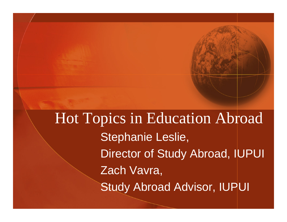Hot Topics in Education Abroad Stephanie Leslie, Director of Study Abroad, IUPUI Zach Vavra, Study Abroad Advisor, IUPUI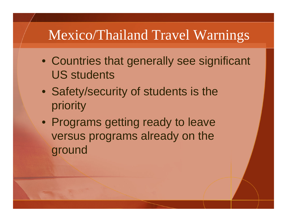### Mexico/Thailand Travel Warnings

- Countries that generally see significant US students
- Safety/security of students is the priority
- Programs getting ready to leave versus programs already on the ground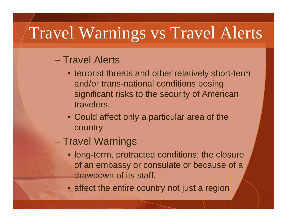# Travel Warnings vs Travel Alerts

#### – Travel Alerts

- terrorist threats and other relatively short-term and/or trans-national conditions posing significant risks to the security of American travelers.
- Could affect only a particular area of the country
- Travel Warnings
	- long-term, protracted conditions; the closure of an embassy or consulate or because of a drawdown of its staff.
	- affect the entire country not just a region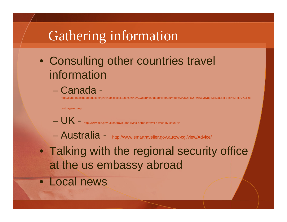### Gathering information

- Consulting other countries travel information
	- Canada -

[http://canadaonline.about.com/gi/dynamic/offsite.htm?zi=1/XJ&sdn=canadaonline&zu=http%3A%2F%2Fww](http://canadaonline.about.com/gi/dynamic/offsite.htm?zi=1/XJ&sdn=canadaonline&zu=http%3A%2F%2Fwww.voyage.gc.ca%2Fdest%2Fctry%2Freportpage-en.asp) w.voyage.gc.ca%2Fdest%2Fctry%2Fre

[portpage-en.asp](http://canadaonline.about.com/gi/dynamic/offsite.htm?zi=1/XJ&sdn=canadaonline&zu=http%3A%2F%2Fwww.voyage.gc.ca%2Fdest%2Fctry%2Freportpage-en.asp)

- e a serie de la provincia de la provincia del provincia del provincia del provincia del provincia del provincia<br>En la provincia del provincia del provincia del provincia del provincia del provincia del provincia del provin  $UK -_{http://ww}$ [w.fco.gov.uk/en/travel-and-living-abroad/travel-advice-by-country/](http://www.fco.gov.uk/en/travel-and-living-abroad/travel-advice-by-country/)
- Australia <http://www.smartraveller.gov.au/zw-cgi/view/Advice/>
- Talking with the regional security office at the us embassy abroad
- Local news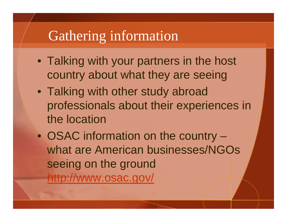#### Gathering information

- Talking with your partners in the host country about what they are seeing
- Talking with other study abroad professionals about their experiences in the location
- OSAC information on the country what are American businesses/NGOs seeing on the ground <http://www.osac.gov/>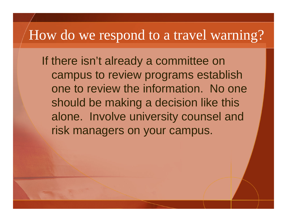#### How do we respond to a travel warning?

If there isn't already a committee on campus to review programs establish one to review the information. No one should be making a decision like this alone. Involve university counsel and risk managers on your campus.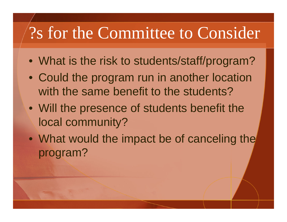# ?s for the Committee to Consider

- What is the risk to students/staff/program?
- Could the program run in another location with the same benefit to the students?
- Will the presence of students benefit the local community?
- What would the impact be of canceling the program?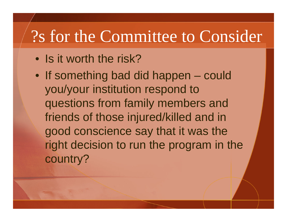# ?s for the Committee to Consider

- Is it worth the risk?
- If something bad did happen could you/your institution respond to questions from family members and friends of those injured/killed and in good conscience say that it was the right decision to run the program in the country?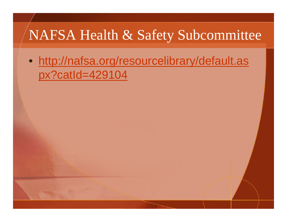### NAFSA Health & Safety Subcommittee

• [http://nafsa.org/resourcelibrary/default.as](http://nafsa.org/resourcelibrary/default.aspx?catId=429104) [px?catId=429104](http://nafsa.org/resourcelibrary/default.aspx?catId=429104)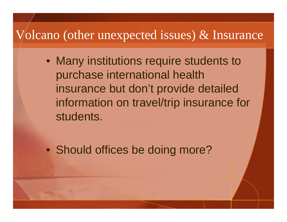#### Volcano (other unexpected issues) & Insurance

• Many institutions require students to purchase international health insurance but don't provide detailed information on travel/trip insurance for students.

• Should offices be doing more?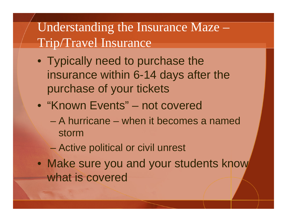#### Understanding the Insurance Maze – Trip/Travel Insurance

- Typically need to purchase the insurance within 6-14 days after the purchase of your tickets
- "Known Events" not covered
	- A hurricane when it becomes a named storm
	- Active political or civil unrest
- Make sure you and your students know what is covered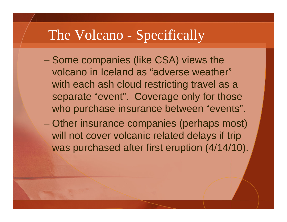#### The Volcano - Specifically

- e a serie de la provincia de la provincia del provincia del provincia del provincia del provincia del provincia<br>En la provincia del provincia del provincia del provincia del provincia del provincia del provincia del provin Some companies (like CSA) views the volcano in Iceland as "adverse weather" with each ash cloud restricting travel as a separate "event". Coverage only for those who purchase insurance between "events".
- Other insurance companies (perhaps most) will not cover volcanic related delays if trip was purchased after first eruption (4/14/10).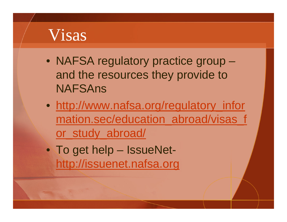# Visas

- NAFSA regulatory practice group and the resources they provide to NAFSAns
- [http://www.nafsa.org/regulatory\\_infor](http://www.nafsa.org/regulatory_information.sec/education_abroad/visas_for_study_abroad/) [mation.sec/education\\_abroad/visas\\_f](http://www.nafsa.org/regulatory_information.sec/education_abroad/visas_for_study_abroad/) [or\\_study\\_abroad/](http://www.nafsa.org/regulatory_information.sec/education_abroad/visas_for_study_abroad/)
- To get help IssueNet[http://issuenet.nafsa.org](http://issuenet.nafsa.org/)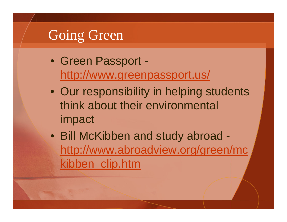## Going Green

- Green Passport <http://www.greenpassport.us/>
- Our responsibility in helping students think about their environmental impact
- Bill McKibben and study abroad [http://www.abroadview.org/green/mc](http://www.abroadview.org/green/mckibben_clip.htm) [kibben\\_clip.htm](http://www.abroadview.org/green/mckibben_clip.htm)